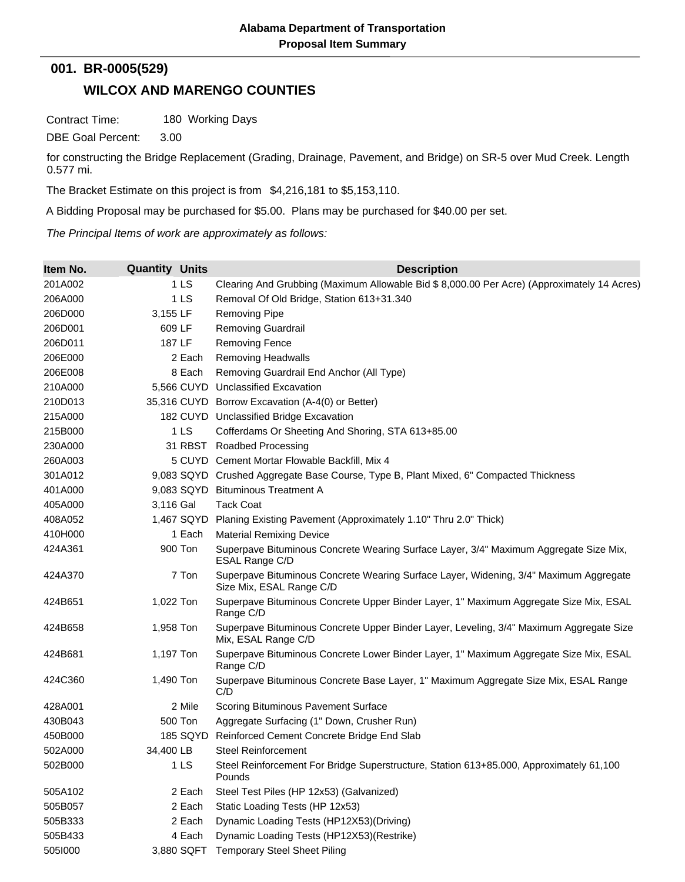## **001. BR-0005(529)**

## **WILCOX AND MARENGO COUNTIES**

Contract Time: 180 Working Days

DBE Goal Percent: 3.00

for constructing the Bridge Replacement (Grading, Drainage, Pavement, and Bridge) on SR-5 over Mud Creek. Length 0.577 mi.

The Bracket Estimate on this project is from \$4,216,181 to \$5,153,110.

A Bidding Proposal may be purchased for \$5.00. Plans may be purchased for \$40.00 per set.

*The Principal Items of work are approximately as follows:*

| Item No. | <b>Quantity Units</b> | <b>Description</b>                                                                                                |
|----------|-----------------------|-------------------------------------------------------------------------------------------------------------------|
| 201A002  | 1LS                   | Clearing And Grubbing (Maximum Allowable Bid \$ 8,000.00 Per Acre) (Approximately 14 Acres)                       |
| 206A000  | 1 <sub>LS</sub>       | Removal Of Old Bridge, Station 613+31.340                                                                         |
| 206D000  | 3,155 LF              | <b>Removing Pipe</b>                                                                                              |
| 206D001  | 609 LF                | <b>Removing Guardrail</b>                                                                                         |
| 206D011  | 187 LF                | <b>Removing Fence</b>                                                                                             |
| 206E000  | 2 Each                | <b>Removing Headwalls</b>                                                                                         |
| 206E008  | 8 Each                | Removing Guardrail End Anchor (All Type)                                                                          |
| 210A000  |                       | 5,566 CUYD Unclassified Excavation                                                                                |
| 210D013  |                       | 35,316 CUYD Borrow Excavation (A-4(0) or Better)                                                                  |
| 215A000  |                       | 182 CUYD Unclassified Bridge Excavation                                                                           |
| 215B000  | 1LS                   | Cofferdams Or Sheeting And Shoring, STA 613+85.00                                                                 |
| 230A000  |                       | 31 RBST Roadbed Processing                                                                                        |
| 260A003  |                       | 5 CUYD Cement Mortar Flowable Backfill, Mix 4                                                                     |
| 301A012  |                       | 9,083 SQYD Crushed Aggregate Base Course, Type B, Plant Mixed, 6" Compacted Thickness                             |
| 401A000  |                       | 9,083 SQYD Bituminous Treatment A                                                                                 |
| 405A000  | 3,116 Gal             | <b>Tack Coat</b>                                                                                                  |
| 408A052  | 1,467 SQYD            | Planing Existing Pavement (Approximately 1.10" Thru 2.0" Thick)                                                   |
| 410H000  | 1 Each                | <b>Material Remixing Device</b>                                                                                   |
| 424A361  | 900 Ton               | Superpave Bituminous Concrete Wearing Surface Layer, 3/4" Maximum Aggregate Size Mix,<br>ESAL Range C/D           |
| 424A370  | 7 Ton                 | Superpave Bituminous Concrete Wearing Surface Layer, Widening, 3/4" Maximum Aggregate<br>Size Mix, ESAL Range C/D |
| 424B651  | 1,022 Ton             | Superpave Bituminous Concrete Upper Binder Layer, 1" Maximum Aggregate Size Mix, ESAL<br>Range C/D                |
| 424B658  | 1,958 Ton             | Superpave Bituminous Concrete Upper Binder Layer, Leveling, 3/4" Maximum Aggregate Size<br>Mix, ESAL Range C/D    |
| 424B681  | 1,197 Ton             | Superpave Bituminous Concrete Lower Binder Layer, 1" Maximum Aggregate Size Mix, ESAL<br>Range C/D                |
| 424C360  | 1,490 Ton             | Superpave Bituminous Concrete Base Layer, 1" Maximum Aggregate Size Mix, ESAL Range<br>C/D                        |
| 428A001  | 2 Mile                | Scoring Bituminous Pavement Surface                                                                               |
| 430B043  | 500 Ton               | Aggregate Surfacing (1" Down, Crusher Run)                                                                        |
| 450B000  | 185 SQYD              | Reinforced Cement Concrete Bridge End Slab                                                                        |
| 502A000  | 34,400 LB             | <b>Steel Reinforcement</b>                                                                                        |
| 502B000  | 1 <sub>LS</sub>       | Steel Reinforcement For Bridge Superstructure, Station 613+85.000, Approximately 61,100<br>Pounds                 |
| 505A102  | 2 Each                | Steel Test Piles (HP 12x53) (Galvanized)                                                                          |
| 505B057  | 2 Each                | Static Loading Tests (HP 12x53)                                                                                   |
| 505B333  | 2 Each                | Dynamic Loading Tests (HP12X53)(Driving)                                                                          |
| 505B433  | 4 Each                | Dynamic Loading Tests (HP12X53)(Restrike)                                                                         |
| 5051000  | 3,880 SQFT            | <b>Temporary Steel Sheet Piling</b>                                                                               |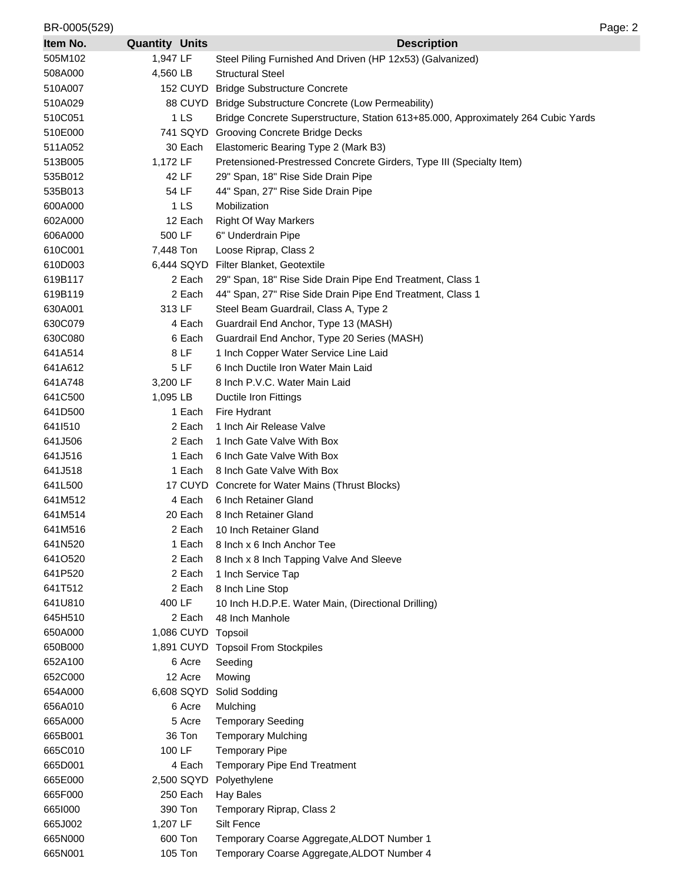| BR-0005(529)       |                       | Page: 2                                                                           |
|--------------------|-----------------------|-----------------------------------------------------------------------------------|
| Item No.           | <b>Quantity Units</b> | <b>Description</b>                                                                |
| 505M102            | 1,947 LF              | Steel Piling Furnished And Driven (HP 12x53) (Galvanized)                         |
| 508A000            | 4,560 LB              | <b>Structural Steel</b>                                                           |
| 510A007            | 152 CUYD              | <b>Bridge Substructure Concrete</b>                                               |
| 510A029            |                       | 88 CUYD Bridge Substructure Concrete (Low Permeability)                           |
| 510C051            | 1 <sub>LS</sub>       | Bridge Concrete Superstructure, Station 613+85.000, Approximately 264 Cubic Yards |
| 510E000            | 741 SQYD              | <b>Grooving Concrete Bridge Decks</b>                                             |
| 511A052            | 30 Each               | Elastomeric Bearing Type 2 (Mark B3)                                              |
| 513B005            | 1,172 LF              | Pretensioned-Prestressed Concrete Girders, Type III (Specialty Item)              |
| 535B012            | 42 LF                 | 29" Span, 18" Rise Side Drain Pipe                                                |
| 535B013            | 54 LF                 | 44" Span, 27" Rise Side Drain Pipe                                                |
| 600A000            | 1 LS                  | Mobilization                                                                      |
| 602A000            | 12 Each               | <b>Right Of Way Markers</b>                                                       |
| 606A000            | 500 LF                | 6" Underdrain Pipe                                                                |
| 610C001            | 7,448 Ton             | Loose Riprap, Class 2                                                             |
| 610D003            | 6,444 SQYD            | Filter Blanket, Geotextile                                                        |
| 619B117            | 2 Each                | 29" Span, 18" Rise Side Drain Pipe End Treatment, Class 1                         |
| 619B119            | 2 Each                | 44" Span, 27" Rise Side Drain Pipe End Treatment, Class 1                         |
| 630A001            | 313 LF                | Steel Beam Guardrail, Class A, Type 2                                             |
| 630C079            | 4 Each                | Guardrail End Anchor, Type 13 (MASH)                                              |
| 630C080            | 6 Each                | Guardrail End Anchor, Type 20 Series (MASH)                                       |
| 641A514            | 8 LF                  | 1 Inch Copper Water Service Line Laid                                             |
| 641A612            | 5 LF                  | 6 Inch Ductile Iron Water Main Laid                                               |
| 641A748            | 3,200 LF              | 8 Inch P.V.C. Water Main Laid                                                     |
| 641C500            | 1,095 LB              | Ductile Iron Fittings                                                             |
| 641D500            | 1 Each                | Fire Hydrant                                                                      |
| 6411510            | 2 Each                | 1 Inch Air Release Valve                                                          |
| 641J506            | 2 Each                | 1 Inch Gate Valve With Box                                                        |
| 641J516            | 1 Each                | 6 Inch Gate Valve With Box                                                        |
| 641J518            | 1 Each                | 8 Inch Gate Valve With Box                                                        |
| 641L500            |                       | 17 CUYD Concrete for Water Mains (Thrust Blocks)                                  |
| 641M512            | 4 Each                | 6 Inch Retainer Gland                                                             |
| 641M514            | 20 Each               | 8 Inch Retainer Gland                                                             |
| 641M516            | 2 Each                | 10 Inch Retainer Gland                                                            |
| 641N520            | 1 Each                | 8 Inch x 6 Inch Anchor Tee                                                        |
| 6410520            | 2 Each                | 8 Inch x 8 Inch Tapping Valve And Sleeve                                          |
| 641P520            | 2 Each                | 1 Inch Service Tap                                                                |
| 641T512            | 2 Each<br>400 LF      | 8 Inch Line Stop                                                                  |
| 641U810            | 2 Each                | 10 Inch H.D.P.E. Water Main, (Directional Drilling)                               |
| 645H510<br>650A000 | 1,086 CUYD Topsoil    | 48 Inch Manhole                                                                   |
| 650B000            |                       | 1,891 CUYD Topsoil From Stockpiles                                                |
| 652A100            | 6 Acre                | Seeding                                                                           |
| 652C000            | 12 Acre               | Mowing                                                                            |
| 654A000            | 6,608 SQYD            | Solid Sodding                                                                     |
| 656A010            | 6 Acre                | Mulching                                                                          |
| 665A000            | 5 Acre                | <b>Temporary Seeding</b>                                                          |
| 665B001            | 36 Ton                | <b>Temporary Mulching</b>                                                         |
| 665C010            | 100 LF                | <b>Temporary Pipe</b>                                                             |
| 665D001            | 4 Each                | Temporary Pipe End Treatment                                                      |
| 665E000            | 2,500 SQYD            | Polyethylene                                                                      |
| 665F000            | 250 Each              | <b>Hay Bales</b>                                                                  |
| 6651000            | 390 Ton               | Temporary Riprap, Class 2                                                         |
| 665J002            | 1,207 LF              | Silt Fence                                                                        |
| 665N000            | 600 Ton               | Temporary Coarse Aggregate, ALDOT Number 1                                        |
| 665N001            | 105 Ton               | Temporary Coarse Aggregate, ALDOT Number 4                                        |